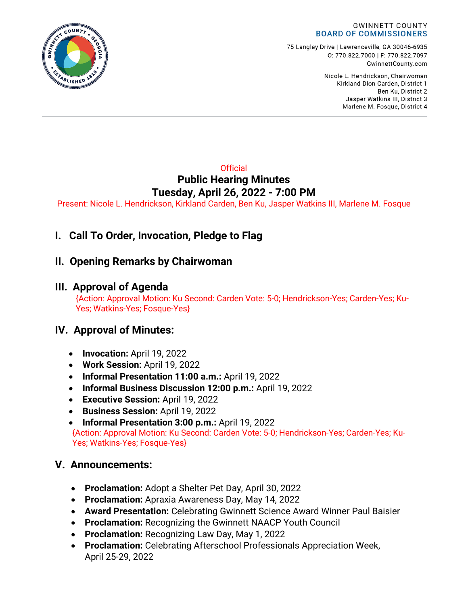

75 Langley Drive | Lawrenceville, GA 30046-6935 0:770.822.7000 | F: 770.822.7097 GwinnettCounty.com

> Nicole L. Hendrickson, Chairwoman Kirkland Dion Carden, District 1 Ben Ku. District 2 Jasper Watkins III, District 3 Marlene M. Fosque, District 4

### **Official Public Hearing Minutes Tuesday, April 26, 2022 - 7:00 PM**

Present: Nicole L. Hendrickson, Kirkland Carden, Ben Ku, Jasper Watkins III, Marlene M. Fosque

# **I. Call To Order, Invocation, Pledge to Flag**

## **II. Opening Remarks by Chairwoman**

## **III. Approval of Agenda**

{Action: Approval Motion: Ku Second: Carden Vote: 5-0; Hendrickson-Yes; Carden-Yes; Ku-Yes; Watkins-Yes; Fosque-Yes}

## **IV. Approval of Minutes:**

- **Invocation:** April 19, 2022
- **Work Session:** April 19, 2022
- **Informal Presentation 11:00 a.m.:** April 19, 2022
- **Informal Business Discussion 12:00 p.m.:** April 19, 2022
- **Executive Session:** April 19, 2022
- **Business Session:** April 19, 2022
- **Informal Presentation 3:00 p.m.:** April 19, 2022 {Action: Approval Motion: Ku Second: Carden Vote: 5-0; Hendrickson-Yes; Carden-Yes; Ku-Yes; Watkins-Yes; Fosque-Yes}

## **V. Announcements:**

- **Proclamation:** Adopt a Shelter Pet Day, April 30, 2022
- **Proclamation:** Apraxia Awareness Day, May 14, 2022
- **Award Presentation:** Celebrating Gwinnett Science Award Winner Paul Baisier
- **Proclamation:** Recognizing the Gwinnett NAACP Youth Council
- **Proclamation:** Recognizing Law Day, May 1, 2022
- **Proclamation:** Celebrating Afterschool Professionals Appreciation Week, April 25-29, 2022

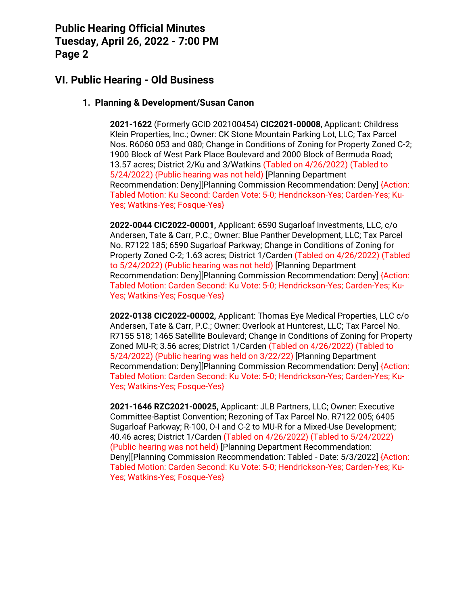## **VI. Public Hearing - Old Business**

#### **1. Planning & Development/Susan Canon**

**2021-1622** (Formerly GCID 202100454) **CIC2021-00008**, Applicant: Childress Klein Properties, Inc.; Owner: CK Stone Mountain Parking Lot, LLC; Tax Parcel Nos. R6060 053 and 080; Change in Conditions of Zoning for Property Zoned C-2; 1900 Block of West Park Place Boulevard and 2000 Block of Bermuda Road; 13.57 acres; District 2/Ku and 3/Watkins (Tabled on 4/26/2022) (Tabled to 5/24/2022) (Public hearing was not held) [Planning Department Recommendation: Deny][Planning Commission Recommendation: Deny] {Action: Tabled Motion: Ku Second: Carden Vote: 5-0; Hendrickson-Yes; Carden-Yes; Ku-Yes; Watkins-Yes; Fosque-Yes}

**2022-0044 CIC2022-00001,** Applicant: 6590 Sugarloaf Investments, LLC, c/o Andersen, Tate & Carr, P.C.; Owner: Blue Panther Development, LLC; Tax Parcel No. R7122 185; 6590 Sugarloaf Parkway; Change in Conditions of Zoning for Property Zoned C-2; 1.63 acres; District 1/Carden (Tabled on 4/26/2022) (Tabled to 5/24/2022) (Public hearing was not held) [Planning Department Recommendation: Deny][Planning Commission Recommendation: Deny] {Action: Tabled Motion: Carden Second: Ku Vote: 5-0; Hendrickson-Yes; Carden-Yes; Ku-Yes; Watkins-Yes; Fosque-Yes}

**2022-0138 CIC2022-00002,** Applicant: Thomas Eye Medical Properties, LLC c/o Andersen, Tate & Carr, P.C.; Owner: Overlook at Huntcrest, LLC; Tax Parcel No. R7155 518; 1465 Satellite Boulevard; Change in Conditions of Zoning for Property Zoned MU-R; 3.56 acres; District 1/Carden (Tabled on 4/26/2022) (Tabled to 5/24/2022) (Public hearing was held on 3/22/22) [Planning Department Recommendation: Deny][Planning Commission Recommendation: Deny] {Action: Tabled Motion: Carden Second: Ku Vote: 5-0; Hendrickson-Yes; Carden-Yes; Ku-Yes; Watkins-Yes; Fosque-Yes}

**2021-1646 RZC2021-00025,** Applicant: JLB Partners, LLC; Owner: Executive Committee-Baptist Convention; Rezoning of Tax Parcel No. R7122 005; 6405 Sugarloaf Parkway; R-100, O-I and C-2 to MU-R for a Mixed-Use Development; 40.46 acres; District 1/Carden (Tabled on 4/26/2022) (Tabled to 5/24/2022) (Public hearing was not held) [Planning Department Recommendation: Deny][Planning Commission Recommendation: Tabled - Date: 5/3/2022] {Action: Tabled Motion: Carden Second: Ku Vote: 5-0; Hendrickson-Yes; Carden-Yes; Ku-Yes; Watkins-Yes; Fosque-Yes}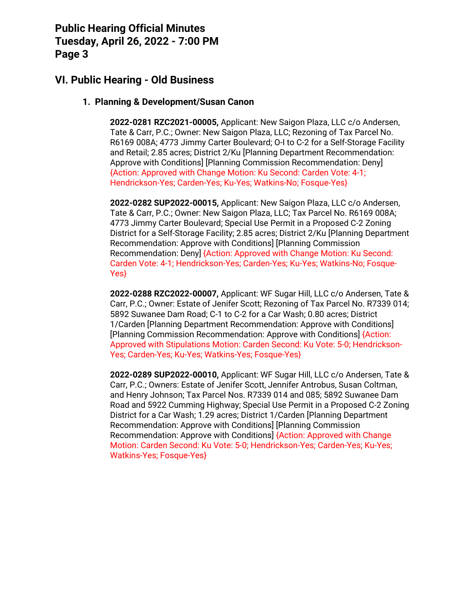## **VI. Public Hearing - Old Business**

#### **1. Planning & Development/Susan Canon**

**2022-0281 RZC2021-00005,** Applicant: New Saigon Plaza, LLC c/o Andersen, Tate & Carr, P.C.; Owner: New Saigon Plaza, LLC; Rezoning of Tax Parcel No. R6169 008A; 4773 Jimmy Carter Boulevard; O-I to C-2 for a Self-Storage Facility and Retail; 2.85 acres; District 2/Ku [Planning Department Recommendation: Approve with Conditions] [Planning Commission Recommendation: Deny] {Action: Approved with Change Motion: Ku Second: Carden Vote: 4-1; Hendrickson-Yes; Carden-Yes; Ku-Yes; Watkins-No; Fosque-Yes}

**2022-0282 SUP2022-00015,** Applicant: New Saigon Plaza, LLC c/o Andersen, Tate & Carr, P.C.; Owner: New Saigon Plaza, LLC; Tax Parcel No. R6169 008A; 4773 Jimmy Carter Boulevard; Special Use Permit in a Proposed C-2 Zoning District for a Self-Storage Facility; 2.85 acres; District 2/Ku [Planning Department Recommendation: Approve with Conditions] [Planning Commission Recommendation: Deny] {Action: Approved with Change Motion: Ku Second: Carden Vote: 4-1; Hendrickson-Yes; Carden-Yes; Ku-Yes; Watkins-No; Fosque-Yes}

**2022-0288 RZC2022-00007,** Applicant: WF Sugar Hill, LLC c/o Andersen, Tate & Carr, P.C.; Owner: Estate of Jenifer Scott; Rezoning of Tax Parcel No. R7339 014; 5892 Suwanee Dam Road; C-1 to C-2 for a Car Wash; 0.80 acres; District 1/Carden [Planning Department Recommendation: Approve with Conditions] [Planning Commission Recommendation: Approve with Conditions] {Action: Approved with Stipulations Motion: Carden Second: Ku Vote: 5-0; Hendrickson-Yes; Carden-Yes; Ku-Yes; Watkins-Yes; Fosque-Yes}

**2022-0289 SUP2022-00010,** Applicant: WF Sugar Hill, LLC c/o Andersen, Tate & Carr, P.C.; Owners: Estate of Jenifer Scott, Jennifer Antrobus, Susan Coltman, and Henry Johnson; Tax Parcel Nos. R7339 014 and 085; 5892 Suwanee Dam Road and 5922 Cumming Highway; Special Use Permit in a Proposed C-2 Zoning District for a Car Wash; 1.29 acres; District 1/Carden [Planning Department Recommendation: Approve with Conditions] [Planning Commission Recommendation: Approve with Conditions] {Action: Approved with Change Motion: Carden Second: Ku Vote: 5-0; Hendrickson-Yes; Carden-Yes; Ku-Yes; Watkins-Yes; Fosque-Yes}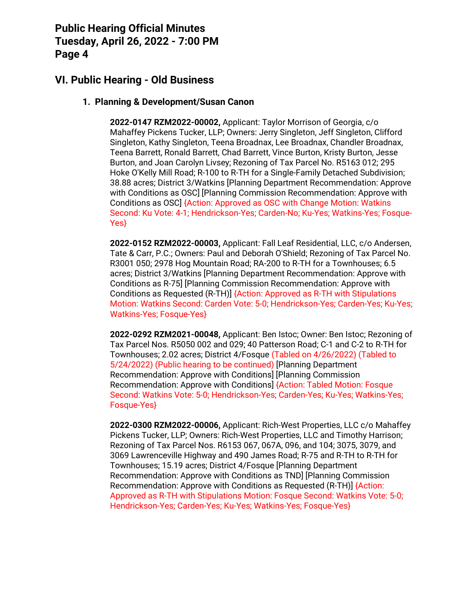## **VI. Public Hearing - Old Business**

#### **1. Planning & Development/Susan Canon**

**2022-0147 RZM2022-00002,** Applicant: Taylor Morrison of Georgia, c/o Mahaffey Pickens Tucker, LLP; Owners: Jerry Singleton, Jeff Singleton, Clifford Singleton, Kathy Singleton, Teena Broadnax, Lee Broadnax, Chandler Broadnax, Teena Barrett, Ronald Barrett, Chad Barrett, Vince Burton, Kristy Burton, Jesse Burton, and Joan Carolyn Livsey; Rezoning of Tax Parcel No. R5163 012; 295 Hoke O'Kelly Mill Road; R-100 to R-TH for a Single-Family Detached Subdivision; 38.88 acres; District 3/Watkins [Planning Department Recommendation: Approve with Conditions as OSC] [Planning Commission Recommendation: Approve with Conditions as OSC] {Action: Approved as OSC with Change Motion: Watkins Second: Ku Vote: 4-1; Hendrickson-Yes; Carden-No; Ku-Yes; Watkins-Yes; Fosque-Yes}

**2022-0152 RZM2022-00003,** Applicant: Fall Leaf Residential, LLC, c/o Andersen, Tate & Carr, P.C.; Owners: Paul and Deborah O'Shield; Rezoning of Tax Parcel No. R3001 050; 2978 Hog Mountain Road; RA-200 to R-TH for a Townhouses; 6.5 acres; District 3/Watkins [Planning Department Recommendation: Approve with Conditions as R-75] [Planning Commission Recommendation: Approve with Conditions as Requested (R-TH)] {Action: Approved as R-TH with Stipulations Motion: Watkins Second: Carden Vote: 5-0; Hendrickson-Yes; Carden-Yes; Ku-Yes; Watkins-Yes; Fosque-Yes}

**2022-0292 RZM2021-00048,** Applicant: Ben Istoc; Owner: Ben Istoc; Rezoning of Tax Parcel Nos. R5050 002 and 029; 40 Patterson Road; C-1 and C-2 to R-TH for Townhouses; 2.02 acres; District 4/Fosque (Tabled on 4/26/2022) (Tabled to 5/24/2022) (Public hearing to be continued) [Planning Department Recommendation: Approve with Conditions] [Planning Commission Recommendation: Approve with Conditions] {Action: Tabled Motion: Fosque Second: Watkins Vote: 5-0; Hendrickson-Yes; Carden-Yes; Ku-Yes; Watkins-Yes; Fosque-Yes}

**2022-0300 RZM2022-00006,** Applicant: Rich-West Properties, LLC c/o Mahaffey Pickens Tucker, LLP; Owners: Rich-West Properties, LLC and Timothy Harrison; Rezoning of Tax Parcel Nos. R6153 067, 067A, 096, and 104; 3075, 3079, and 3069 Lawrenceville Highway and 490 James Road; R-75 and R-TH to R-TH for Townhouses; 15.19 acres; District 4/Fosque [Planning Department Recommendation: Approve with Conditions as TND] [Planning Commission Recommendation: Approve with Conditions as Requested (R-TH)] {Action: Approved as R-TH with Stipulations Motion: Fosque Second: Watkins Vote: 5-0; Hendrickson-Yes; Carden-Yes; Ku-Yes; Watkins-Yes; Fosque-Yes}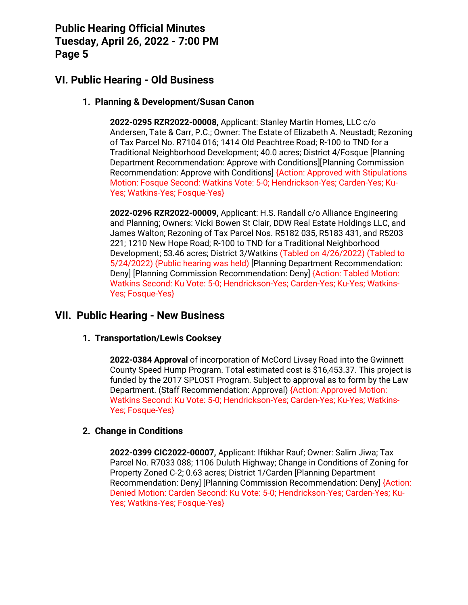## **VI. Public Hearing - Old Business**

#### **1. Planning & Development/Susan Canon**

**2022-0295 RZR2022-00008,** Applicant: Stanley Martin Homes, LLC c/o Andersen, Tate & Carr, P.C.; Owner: The Estate of Elizabeth A. Neustadt; Rezoning of Tax Parcel No. R7104 016; 1414 Old Peachtree Road; R-100 to TND for a Traditional Neighborhood Development; 40.0 acres; District 4/Fosque [Planning Department Recommendation: Approve with Conditions][Planning Commission Recommendation: Approve with Conditions] {Action: Approved with Stipulations Motion: Fosque Second: Watkins Vote: 5-0; Hendrickson-Yes; Carden-Yes; Ku-Yes; Watkins-Yes; Fosque-Yes}

**2022-0296 RZR2022-00009,** Applicant: H.S. Randall c/o Alliance Engineering and Planning; Owners: Vicki Bowen St Clair, DDW Real Estate Holdings LLC, and James Walton; Rezoning of Tax Parcel Nos. R5182 035, R5183 431, and R5203 221; 1210 New Hope Road; R-100 to TND for a Traditional Neighborhood Development; 53.46 acres; District 3/Watkins (Tabled on 4/26/2022) (Tabled to 5/24/2022) (Public hearing was held) [Planning Department Recommendation: Deny] [Planning Commission Recommendation: Deny] {Action: Tabled Motion: Watkins Second: Ku Vote: 5-0; Hendrickson-Yes; Carden-Yes; Ku-Yes; Watkins-Yes; Fosque-Yes}

### **VII. Public Hearing - New Business**

#### **1. Transportation/Lewis Cooksey**

**2022-0384 Approval** of incorporation of McCord Livsey Road into the Gwinnett County Speed Hump Program. Total estimated cost is \$16,453.37. This project is funded by the 2017 SPLOST Program. Subject to approval as to form by the Law Department. (Staff Recommendation: Approval) {Action: Approved Motion: Watkins Second: Ku Vote: 5-0; Hendrickson-Yes; Carden-Yes; Ku-Yes; Watkins-Yes; Fosque-Yes}

#### **2. Change in Conditions**

**2022-0399 CIC2022-00007,** Applicant: Iftikhar Rauf; Owner: Salim Jiwa; Tax Parcel No. R7033 088; 1106 Duluth Highway; Change in Conditions of Zoning for Property Zoned C-2; 0.63 acres; District 1/Carden [Planning Department Recommendation: Deny] [Planning Commission Recommendation: Deny] {Action: Denied Motion: Carden Second: Ku Vote: 5-0; Hendrickson-Yes; Carden-Yes; Ku-Yes; Watkins-Yes; Fosque-Yes}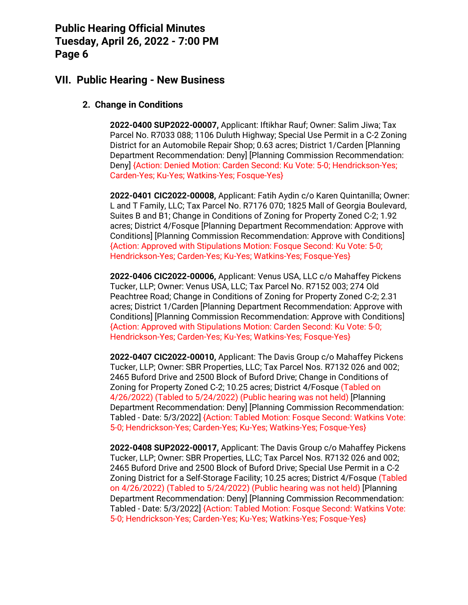### **VII. Public Hearing - New Business**

### **2. Change in Conditions**

**2022-0400 SUP2022-00007,** Applicant: Iftikhar Rauf; Owner: Salim Jiwa; Tax Parcel No. R7033 088; 1106 Duluth Highway; Special Use Permit in a C-2 Zoning District for an Automobile Repair Shop; 0.63 acres; District 1/Carden [Planning Department Recommendation: Deny] [Planning Commission Recommendation: Deny] {Action: Denied Motion: Carden Second: Ku Vote: 5-0; Hendrickson-Yes; Carden-Yes; Ku-Yes; Watkins-Yes; Fosque-Yes}

**2022-0401 CIC2022-00008,** Applicant: Fatih Aydin c/o Karen Quintanilla; Owner: L and T Family, LLC; Tax Parcel No. R7176 070; 1825 Mall of Georgia Boulevard, Suites B and B1; Change in Conditions of Zoning for Property Zoned C-2; 1.92 acres; District 4/Fosque [Planning Department Recommendation: Approve with Conditions] [Planning Commission Recommendation: Approve with Conditions] {Action: Approved with Stipulations Motion: Fosque Second: Ku Vote: 5-0; Hendrickson-Yes; Carden-Yes; Ku-Yes; Watkins-Yes; Fosque-Yes}

**2022-0406 CIC2022-00006,** Applicant: Venus USA, LLC c/o Mahaffey Pickens Tucker, LLP; Owner: Venus USA, LLC; Tax Parcel No. R7152 003; 274 Old Peachtree Road; Change in Conditions of Zoning for Property Zoned C-2; 2.31 acres; District 1/Carden [Planning Department Recommendation: Approve with Conditions] [Planning Commission Recommendation: Approve with Conditions] {Action: Approved with Stipulations Motion: Carden Second: Ku Vote: 5-0; Hendrickson-Yes; Carden-Yes; Ku-Yes; Watkins-Yes; Fosque-Yes}

**2022-0407 CIC2022-00010,** Applicant: The Davis Group c/o Mahaffey Pickens Tucker, LLP; Owner: SBR Properties, LLC; Tax Parcel Nos. R7132 026 and 002; 2465 Buford Drive and 2500 Block of Buford Drive; Change in Conditions of Zoning for Property Zoned C-2; 10.25 acres; District 4/Fosque (Tabled on 4/26/2022) (Tabled to 5/24/2022) (Public hearing was not held) [Planning Department Recommendation: Deny] [Planning Commission Recommendation: Tabled - Date: 5/3/2022] {Action: Tabled Motion: Fosque Second: Watkins Vote: 5-0; Hendrickson-Yes; Carden-Yes; Ku-Yes; Watkins-Yes; Fosque-Yes}

**2022-0408 SUP2022-00017,** Applicant: The Davis Group c/o Mahaffey Pickens Tucker, LLP; Owner: SBR Properties, LLC; Tax Parcel Nos. R7132 026 and 002; 2465 Buford Drive and 2500 Block of Buford Drive; Special Use Permit in a C-2 Zoning District for a Self-Storage Facility; 10.25 acres; District 4/Fosque (Tabled on 4/26/2022) (Tabled to 5/24/2022) (Public hearing was not held) [Planning Department Recommendation: Deny] [Planning Commission Recommendation: Tabled - Date: 5/3/2022] {Action: Tabled Motion: Fosque Second: Watkins Vote: 5-0; Hendrickson-Yes; Carden-Yes; Ku-Yes; Watkins-Yes; Fosque-Yes}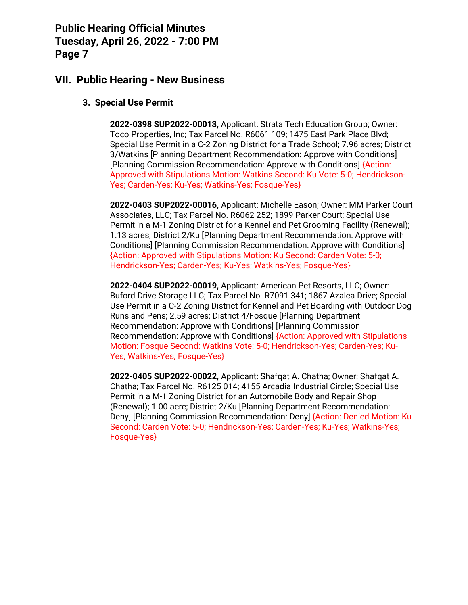### **VII. Public Hearing - New Business**

### **3. Special Use Permit**

**2022-0398 SUP2022-00013,** Applicant: Strata Tech Education Group; Owner: Toco Properties, Inc; Tax Parcel No. R6061 109; 1475 East Park Place Blvd; Special Use Permit in a C-2 Zoning District for a Trade School; 7.96 acres; District 3/Watkins [Planning Department Recommendation: Approve with Conditions] [Planning Commission Recommendation: Approve with Conditions] {Action: Approved with Stipulations Motion: Watkins Second: Ku Vote: 5-0; Hendrickson-Yes; Carden-Yes; Ku-Yes; Watkins-Yes; Fosque-Yes}

**2022-0403 SUP2022-00016,** Applicant: Michelle Eason; Owner: MM Parker Court Associates, LLC; Tax Parcel No. R6062 252; 1899 Parker Court; Special Use Permit in a M-1 Zoning District for a Kennel and Pet Grooming Facility (Renewal); 1.13 acres; District 2/Ku [Planning Department Recommendation: Approve with Conditions] [Planning Commission Recommendation: Approve with Conditions] {Action: Approved with Stipulations Motion: Ku Second: Carden Vote: 5-0; Hendrickson-Yes; Carden-Yes; Ku-Yes; Watkins-Yes; Fosque-Yes}

**2022-0404 SUP2022-00019,** Applicant: American Pet Resorts, LLC; Owner: Buford Drive Storage LLC; Tax Parcel No. R7091 341; 1867 Azalea Drive; Special Use Permit in a C-2 Zoning District for Kennel and Pet Boarding with Outdoor Dog Runs and Pens; 2.59 acres; District 4/Fosque [Planning Department Recommendation: Approve with Conditions] [Planning Commission Recommendation: Approve with Conditions] {Action: Approved with Stipulations Motion: Fosque Second: Watkins Vote: 5-0; Hendrickson-Yes; Carden-Yes; Ku-Yes; Watkins-Yes; Fosque-Yes}

**2022-0405 SUP2022-00022,** Applicant: Shafqat A. Chatha; Owner: Shafqat A. Chatha; Tax Parcel No. R6125 014; 4155 Arcadia Industrial Circle; Special Use Permit in a M-1 Zoning District for an Automobile Body and Repair Shop (Renewal); 1.00 acre; District 2/Ku [Planning Department Recommendation: Deny] [Planning Commission Recommendation: Deny] {Action: Denied Motion: Ku Second: Carden Vote: 5-0; Hendrickson-Yes; Carden-Yes; Ku-Yes; Watkins-Yes; Fosque-Yes}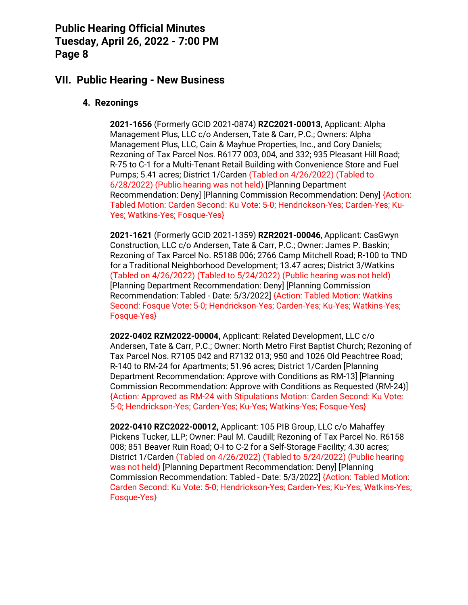### **VII. Public Hearing - New Business**

#### **4. Rezonings**

**2021-1656** (Formerly GCID 2021-0874) **RZC2021-00013**, Applicant: Alpha Management Plus, LLC c/o Andersen, Tate & Carr, P.C.; Owners: Alpha Management Plus, LLC, Cain & Mayhue Properties, Inc., and Cory Daniels; Rezoning of Tax Parcel Nos. R6177 003, 004, and 332; 935 Pleasant Hill Road; R-75 to C-1 for a Multi-Tenant Retail Building with Convenience Store and Fuel Pumps; 5.41 acres; District 1/Carden (Tabled on 4/26/2022) (Tabled to 6/28/2022) (Public hearing was not held) [Planning Department Recommendation: Deny] [Planning Commission Recommendation: Deny] {Action: Tabled Motion: Carden Second: Ku Vote: 5-0; Hendrickson-Yes; Carden-Yes; Ku-Yes; Watkins-Yes; Fosque-Yes}

**2021-1621** (Formerly GCID 2021-1359) **RZR2021-00046**, Applicant: CasGwyn Construction, LLC c/o Andersen, Tate & Carr, P.C.; Owner: James P. Baskin; Rezoning of Tax Parcel No. R5188 006; 2766 Camp Mitchell Road; R-100 to TND for a Traditional Neighborhood Development; 13.47 acres; District 3/Watkins (Tabled on 4/26/2022) (Tabled to 5/24/2022) (Public hearing was not held) [Planning Department Recommendation: Deny] [Planning Commission Recommendation: Tabled - Date: 5/3/2022] {Action: Tabled Motion: Watkins Second: Fosque Vote: 5-0; Hendrickson-Yes; Carden-Yes; Ku-Yes; Watkins-Yes; Fosque-Yes}

**2022-0402 RZM2022-00004,** Applicant: Related Development, LLC c/o Andersen, Tate & Carr, P.C.; Owner: North Metro First Baptist Church; Rezoning of Tax Parcel Nos. R7105 042 and R7132 013; 950 and 1026 Old Peachtree Road; R-140 to RM-24 for Apartments; 51.96 acres; District 1/Carden [Planning Department Recommendation: Approve with Conditions as RM-13] [Planning Commission Recommendation: Approve with Conditions as Requested (RM-24)] {Action: Approved as RM-24 with Stipulations Motion: Carden Second: Ku Vote: 5-0; Hendrickson-Yes; Carden-Yes; Ku-Yes; Watkins-Yes; Fosque-Yes}

**2022-0410 RZC2022-00012,** Applicant: 105 PIB Group, LLC c/o Mahaffey Pickens Tucker, LLP; Owner: Paul M. Caudill; Rezoning of Tax Parcel No. R6158 008; 851 Beaver Ruin Road; O-I to C-2 for a Self-Storage Facility; 4.30 acres; District 1/Carden (Tabled on 4/26/2022) (Tabled to 5/24/2022) (Public hearing was not held) [Planning Department Recommendation: Deny] [Planning Commission Recommendation: Tabled - Date: 5/3/2022] {Action: Tabled Motion: Carden Second: Ku Vote: 5-0; Hendrickson-Yes; Carden-Yes; Ku-Yes; Watkins-Yes; Fosque-Yes}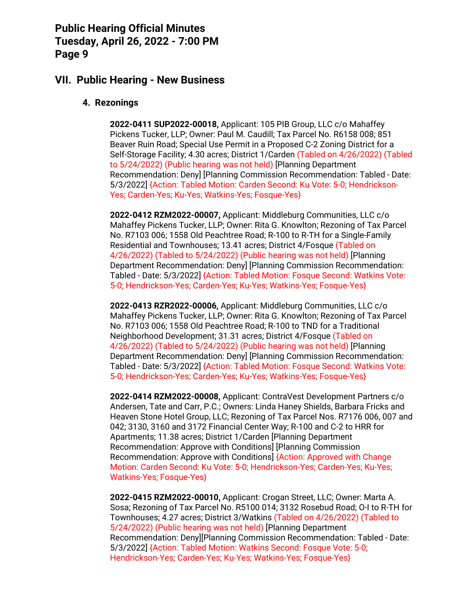### **VII. Public Hearing - New Business**

#### **4. Rezonings**

**2022-0411 SUP2022-00018,** Applicant: 105 PIB Group, LLC c/o Mahaffey Pickens Tucker, LLP; Owner: Paul M. Caudill; Tax Parcel No. R6158 008; 851 Beaver Ruin Road; Special Use Permit in a Proposed C-2 Zoning District for a Self-Storage Facility; 4.30 acres; District 1/Carden (Tabled on 4/26/2022) (Tabled to 5/24/2022) (Public hearing was not held) [Planning Department Recommendation: Deny] [Planning Commission Recommendation: Tabled - Date: 5/3/2022] {Action: Tabled Motion: Carden Second: Ku Vote: 5-0; Hendrickson-Yes; Carden-Yes; Ku-Yes; Watkins-Yes; Fosque-Yes}

**2022-0412 RZM2022-00007,** Applicant: Middleburg Communities, LLC c/o Mahaffey Pickens Tucker, LLP; Owner: Rita G. Knowlton; Rezoning of Tax Parcel No. R7103 006; 1558 Old Peachtree Road; R-100 to R-TH for a Single-Family Residential and Townhouses; 13.41 acres; District 4/Fosque (Tabled on 4/26/2022) (Tabled to 5/24/2022) (Public hearing was not held) [Planning Department Recommendation: Deny] [Planning Commission Recommendation: Tabled - Date: 5/3/2022] {Action: Tabled Motion: Fosque Second: Watkins Vote: 5-0; Hendrickson-Yes; Carden-Yes; Ku-Yes; Watkins-Yes; Fosque-Yes}

**2022-0413 RZR2022-00006,** Applicant: Middleburg Communities, LLC c/o Mahaffey Pickens Tucker, LLP; Owner: Rita G. Knowlton; Rezoning of Tax Parcel No. R7103 006; 1558 Old Peachtree Road; R-100 to TND for a Traditional Neighborhood Development; 31.31 acres; District 4/Fosque (Tabled on 4/26/2022) (Tabled to 5/24/2022) (Public hearing was not held) [Planning Department Recommendation: Deny] [Planning Commission Recommendation: Tabled - Date: 5/3/2022] {Action: Tabled Motion: Fosque Second: Watkins Vote: 5-0; Hendrickson-Yes; Carden-Yes; Ku-Yes; Watkins-Yes; Fosque-Yes}

**2022-0414 RZM2022-00008,** Applicant: ContraVest Development Partners c/o Andersen, Tate and Carr, P.C.; Owners: Linda Haney Shields, Barbara Fricks and Heaven Stone Hotel Group, LLC; Rezoning of Tax Parcel Nos. R7176 006, 007 and 042; 3130, 3160 and 3172 Financial Center Way; R-100 and C-2 to HRR for Apartments; 11.38 acres; District 1/Carden [Planning Department Recommendation: Approve with Conditions] [Planning Commission Recommendation: Approve with Conditions] {Action: Approved with Change Motion: Carden Second: Ku Vote: 5-0; Hendrickson-Yes; Carden-Yes; Ku-Yes; Watkins-Yes; Fosque-Yes}

**2022-0415 RZM2022-00010,** Applicant: Crogan Street, LLC; Owner: Marta A. Sosa; Rezoning of Tax Parcel No. R5100 014; 3132 Rosebud Road; O-I to R-TH for Townhouses; 4.27 acres; District 3/Watkins (Tabled on 4/26/2022) (Tabled to 5/24/2022) (Public hearing was not held) [Planning Department Recommendation: Deny][Planning Commission Recommendation: Tabled - Date: 5/3/2022] {Action: Tabled Motion: Watkins Second: Fosque Vote: 5-0; Hendrickson-Yes; Carden-Yes; Ku-Yes; Watkins-Yes; Fosque-Yes}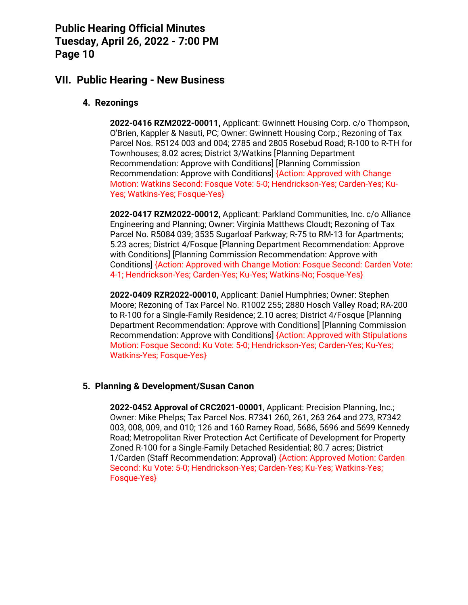### **VII. Public Hearing - New Business**

#### **4. Rezonings**

**2022-0416 RZM2022-00011,** Applicant: Gwinnett Housing Corp. c/o Thompson, O'Brien, Kappler & Nasuti, PC; Owner: Gwinnett Housing Corp.; Rezoning of Tax Parcel Nos. R5124 003 and 004; 2785 and 2805 Rosebud Road; R-100 to R-TH for Townhouses; 8.02 acres; District 3/Watkins [Planning Department Recommendation: Approve with Conditions] [Planning Commission Recommendation: Approve with Conditions] {Action: Approved with Change Motion: Watkins Second: Fosque Vote: 5-0; Hendrickson-Yes; Carden-Yes; Ku-Yes; Watkins-Yes; Fosque-Yes}

**2022-0417 RZM2022-00012,** Applicant: Parkland Communities, Inc. c/o Alliance Engineering and Planning; Owner: Virginia Matthews Cloudt; Rezoning of Tax Parcel No. R5084 039; 3535 Sugarloaf Parkway; R-75 to RM-13 for Apartments; 5.23 acres; District 4/Fosque [Planning Department Recommendation: Approve with Conditions] [Planning Commission Recommendation: Approve with Conditions] {Action: Approved with Change Motion: Fosque Second: Carden Vote: 4-1; Hendrickson-Yes; Carden-Yes; Ku-Yes; Watkins-No; Fosque-Yes}

**2022-0409 RZR2022-00010,** Applicant: Daniel Humphries; Owner: Stephen Moore; Rezoning of Tax Parcel No. R1002 255; 2880 Hosch Valley Road; RA-200 to R-100 for a Single-Family Residence; 2.10 acres; District 4/Fosque [Planning Department Recommendation: Approve with Conditions] [Planning Commission Recommendation: Approve with Conditions] {Action: Approved with Stipulations Motion: Fosque Second: Ku Vote: 5-0; Hendrickson-Yes; Carden-Yes; Ku-Yes; Watkins-Yes; Fosque-Yes}

#### **5. Planning & Development/Susan Canon**

**2022-0452 Approval of CRC2021-00001**, Applicant: Precision Planning, Inc.; Owner: Mike Phelps; Tax Parcel Nos. R7341 260, 261, 263 264 and 273, R7342 003, 008, 009, and 010; 126 and 160 Ramey Road, 5686, 5696 and 5699 Kennedy Road; Metropolitan River Protection Act Certificate of Development for Property Zoned R-100 for a Single-Family Detached Residential; 80.7 acres; District 1/Carden (Staff Recommendation: Approval) {Action: Approved Motion: Carden Second: Ku Vote: 5-0; Hendrickson-Yes; Carden-Yes; Ku-Yes; Watkins-Yes; Fosque-Yes}